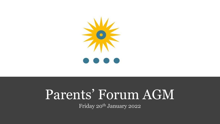

# Parents' Forum AGM

Friday 20<sup>th</sup> January 2022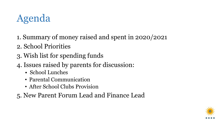# Agenda

- 1. Summary of money raised and spent in 2020/2021
- 2. School Priorities
- 3. Wish list for spending funds
- 4. Issues raised by parents for discussion:
	- School Lunches
	- Parental Communication
	- After School Clubs Provision
- 5. New Parent Forum Lead and Finance Lead

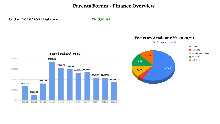#### **Parents Forum - Finance Overview**

**End of 2020/2021 Balance:** *£6,870.92*



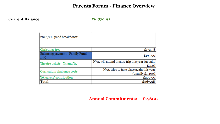#### **Parents Forum - Finance Overview**

#### **Current Balance:** *£6,870.92*

| 2020/21 Spend breakdown:               |                                                                   |
|----------------------------------------|-------------------------------------------------------------------|
|                                        |                                                                   |
| Christmas tree                         | £172.58                                                           |
| Balancing payment - Family Fund<br>15% | £195.00                                                           |
| Theatre tickets - Y4 and Y5            | N/A, will attend theatre trip this year (usually<br>£750)         |
| Curriculum challenge costs             | $N/A$ , trips to take place again this year<br>(usually $£1,400)$ |
| Y6 leavers' contribution               | £200.00                                                           |
| <b>Total</b>                           | £567.58                                                           |

#### **Annual Commitments: £2,600**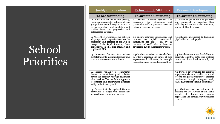# School Priorities

| <b>Quality of Education</b>                                                                                                                                                                                                                 | <b>Behaviour &amp; Attitudes</b>                                                                                                                                                                        | <b>Personal Development</b>                                                                                                                                                                                       |
|---------------------------------------------------------------------------------------------------------------------------------------------------------------------------------------------------------------------------------------------|---------------------------------------------------------------------------------------------------------------------------------------------------------------------------------------------------------|-------------------------------------------------------------------------------------------------------------------------------------------------------------------------------------------------------------------|
| To be Outstanding                                                                                                                                                                                                                           | <b>To sustain Outstanding</b>                                                                                                                                                                           | <b>To sustain Outstanding</b>                                                                                                                                                                                     |
| 1.1 In line with the Ark network priority,<br>refine our approach to reading in all year<br>groups from EYFS through to Year 6 to<br>ensure consistent implementation and<br>positive impact on progression and<br>outcomes for all pupils. | 2.1 Sustain effective systems<br>and<br>procedures<br>for<br>attendance<br>and<br>punctuality, with a particular focus on<br>reducing persistent absence.                                               | 3.1 Ensure all pupils are fully prepared<br>and supported to prioritise their<br>wellbeing and address social, emotional,<br>and mental health needs.                                                             |
| 1.2 Close the performance gap between<br>all groups; with a specific focus on the<br>attainment and progress of children in<br>receipt of the Pupil Premium, those<br>previously deemed as high attainers and<br>pupils with SEN.           | 2.2 Ensure behaviour expectations and<br>routines<br>upheld<br>consistently<br>are<br>throughout the school day by all<br>members of staff, with a focus on<br>developing pupils' intrinsic motivation. | 3.2 Enhance our approach to developing<br>physical health in all pupils.                                                                                                                                          |
| 1.3 Implement the next phase of our<br>digital strategy to maximise learning time<br>both in the classroom and at home.                                                                                                                     | 2.3 Continue to embed our school values,<br>in order to maintain our culture of high<br>expectations in all areas, for example<br>respect for ourselves and for each other.                             | 3.3 Provide opportunities for children to<br>positively contribute to the lives of others<br>in our school, our local community and<br>bevond.                                                                    |
| 1.4 Ensure teaching is consistently<br>deemed to be at least good or better<br>across the academy through alignment<br>with the Great Teacher Rubric approach<br>to coaching and observations (whether<br>led by evaluators or peers).      |                                                                                                                                                                                                         | 3.4 Develop opportunities for parental<br>engagement via social media, our school<br>website and parent workshops. Increase<br>involvement through 1:1 support work,<br>whole class exhibitions and expert talks. |
| 1.5 Ensure that the updated Conway<br>curriculum is taught with consistency<br>across all year groups and teachers.                                                                                                                         |                                                                                                                                                                                                         | 3.5 Continue our commitment to<br>ensuring we are a diverse and inclusive<br>school, both through our teaching<br>approaches and through our curriculum<br>choices.                                               |
|                                                                                                                                                                                                                                             |                                                                                                                                                                                                         | $\mathbf{A}$                                                                                                                                                                                                      |

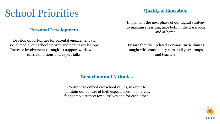### School Priorities

#### **Personal Development**

Develop opportunities for parental engagement via social media, our school website and parent workshops. Increase involvement through 1:1 support work, whole class exhibitions and expert talks.

#### **Quality of Education**

Implement the next phase of our digital strategy to maximise learning time both in the classroom and at home.

Ensure that the updated Conway Curriculum is taught with consistency across all year groups and teachers.

#### **Behaviour and Attitudes**

Continue to embed our school values, in order to maintain our culture of high expectations in all areas, for example respect for ourselves and for each other.

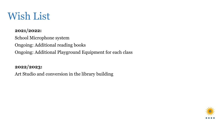### Wish List

#### **2021/2022:**

School Microphone system Ongoing: Additional reading books Ongoing: Additional Playground Equipment for each class

#### **2022/2023:**

Art Studio and conversion in the library building

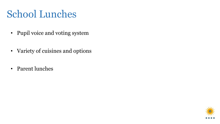### School Lunches

- Pupil voice and voting system
- Variety of cuisines and options
- Parent lunches

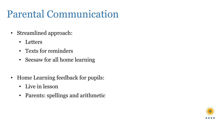### Parental Communication

- Streamlined approach:
	- Letters
	- Texts for reminders
	- Seesaw for all home learning
- Home Learning feedback for pupils:
	- Live in lesson
	- Parents: spellings and arithmetic

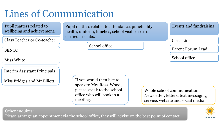# Lines of Communication

Pupil matters related to wellbeing and achievement.

Class Teacher or Co-teacher

Miss White

Interim Assistant Principals

Miss Bridges and Mr Elliott

Pupil matters related to attendance, punctuality, health, uniform, lunches, school visits or extracurricular clubs.

School office

Events and fundraising

Class Link

SENCO Report Forum Lead

School office

If you would then like to speak to Mrs Ross-Wood, please speak to the school office who will book in a meeting.

Whole school communication: Newsletter, letters, text messaging service, website and social media.

Other enquires:

Please arrange an appointment via the school office, they will advise on the best point of contact.

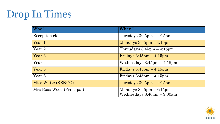### Drop In Times

| Who?                      | <b>When?</b>                                |
|---------------------------|---------------------------------------------|
| Reception class           | Tuesdays $3:45 \text{pm} - 4:15 \text{pm}$  |
| Year 1                    | Mondays $3:45$ pm $-4:15$ pm                |
| Year 2                    | Thursdays $3:45 \text{pm} - 4:15 \text{pm}$ |
| Year 3                    | Fridays $3:45$ pm $-4:15$ pm                |
| Year 4                    | Wednesdays $3:45$ pm $-4:15$ pm             |
| Year 5                    | Fridays $3:45$ pm $-4:15$ pm                |
| Year 6                    | Fridays $3:45$ pm $-4:15$ pm                |
| Miss White (SENCO)        | Tuesdays $3:45 \text{pm} - 4:15 \text{pm}$  |
| Mrs Ross-Wood (Principal) | Mondays $3:45$ pm $-4:15$ pm                |
|                           | Wednesdays 8:40am - 9:00am                  |

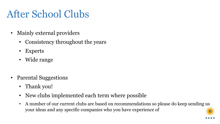# After School Clubs

- Mainly external providers
	- Consistency throughout the years
	- Experts
	- Wide range
- Parental Suggestions
	- Thank you!
	- New clubs implemented each term where possible
	- A number of our current clubs are based on recommendations so please do keep sending us your ideas and any specific companies who you have experience of